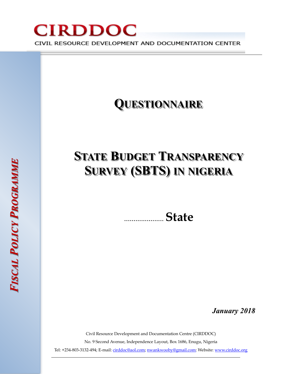

# **STATE BUDGET TRANSPARENCY SURVEY (SBTS) IN NIGERIA**

..................... **State**

*January 2018* 

Civil Resource Development and Documentation Centre (CIRDDOC)

No. 9 Second Avenue, Independence Layout, Box 1686, Enugu, Nigeria

Tel: +234-803-3132-494; E-mail: [cirddoc@aol.com;](mailto:cirddoc@aol.com) [nwankwooby@gmail.com:](mailto:nwankwooby@gmail.com) Website: www.cirddoc.org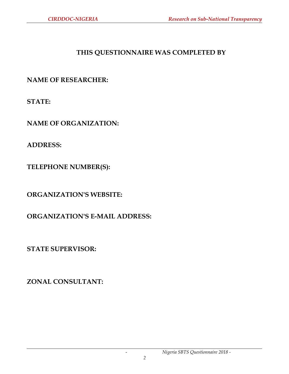# **THIS QUESTIONNAIRE WAS COMPLETED BY**

**NAME OF RESEARCHER:** 

**STATE:** 

**NAME OF ORGANIZATION:** 

**ADDRESS:** 

**TELEPHONE NUMBER(S):** 

**ORGANIZATION'S WEBSITE:** 

**ORGANIZATION'S E-MAIL ADDRESS:** 

**STATE SUPERVISOR:** 

**ZONAL CONSULTANT:**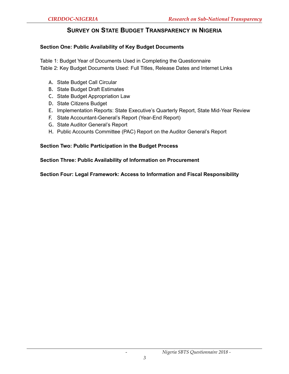# **SURVEY ON STATE BUDGET TRANSPARENCY IN NIGERIA**

### **Section One: Public Availability of Key Budget Documents**

Table 1: Budget Year of Documents Used in Completing the Questionnaire Table 2: Key Budget Documents Used: Full Titles, Release Dates and Internet Links

- A. State Budget Call Circular
- B. State Budget Draft Estimates
- C. State Budget Appropriation Law
- D. State Citizens Budget
- E. Implementation Reports: State Executive's Quarterly Report, State Mid-Year Review
- F. State Accountant-General's Report (Year-End Report)
- G. State Auditor General's Report
- H. Public Accounts Committee (PAC) Report on the Auditor General's Report

#### **Section Two: Public Participation in the Budget Process**

#### **Section Three: Public Availability of Information on Procurement**

**Section Four: Legal Framework: Access to Information and Fiscal Responsibility**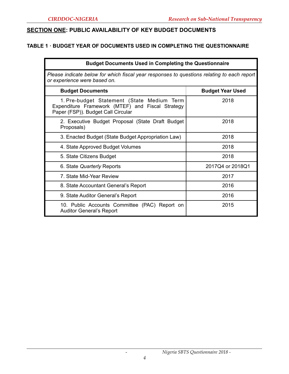# **SECTION ONE: PUBLIC AVAILABILITY OF KEY BUDGET DOCUMENTS**

# **TABLE 1 · BUDGET YEAR OF DOCUMENTS USED IN COMPLETING THE QUESTIONNAIRE**

| <b>Budget Documents Used in Completing the Questionnaire</b>                                                                         |                         |  |
|--------------------------------------------------------------------------------------------------------------------------------------|-------------------------|--|
| Please indicate below for which fiscal year responses to questions relating to each report<br>or experience were based on.           |                         |  |
| <b>Budget Documents</b>                                                                                                              | <b>Budget Year Used</b> |  |
| 1. Pre-budget Statement (State Medium Term<br>Expenditure Framework (MTEF) and Fiscal Strategy<br>Paper (FSP)). Budget Call Circular | 2018                    |  |
| 2. Executive Budget Proposal (State Draft Budget<br>Proposals)                                                                       | 2018                    |  |
| 3. Enacted Budget (State Budget Appropriation Law)                                                                                   | 2018                    |  |
| 4. State Approved Budget Volumes                                                                                                     | 2018                    |  |
| 5. State Citizens Budget                                                                                                             | 2018                    |  |
| 6. State Quarterly Reports                                                                                                           | 2017Q4 or 2018Q1        |  |
| 7. State Mid-Year Review                                                                                                             | 2017                    |  |
| 8. State Accountant General's Report                                                                                                 | 2016                    |  |
| 9. State Auditor General's Report                                                                                                    | 2016                    |  |
| 10. Public Accounts Committee (PAC) Report on<br><b>Auditor General's Report</b>                                                     | 2015                    |  |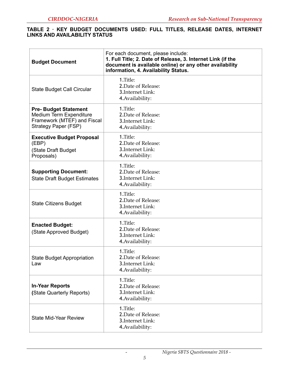#### **TABLE 2 · KEY BUDGET DOCUMENTS USED: FULL TITLES, RELEASE DATES, INTERNET LINKS AND AVAILABILITY STATUS**

| <b>Budget Document</b>                                                                                        | For each document, please include:<br>1. Full Title; 2. Date of Release, 3. Internet Link (if the<br>document is available online) or any other availability<br>information, 4. Availability Status. |
|---------------------------------------------------------------------------------------------------------------|------------------------------------------------------------------------------------------------------------------------------------------------------------------------------------------------------|
| State Budget Call Circular                                                                                    | 1.Title:<br>2. Date of Release:<br>3. Internet Link:<br>4. Availability:                                                                                                                             |
| <b>Pre-Budget Statement</b><br>Medium Term Expenditure<br>Framework (MTEF) and Fiscal<br>Strategy Paper (FSP) | 1.Title:<br>2. Date of Release:<br>3. Internet Link:<br>4. Availability:                                                                                                                             |
| <b>Executive Budget Proposal</b><br>(EBP)<br>(State Draft Budget<br>Proposals)                                | 1.Title:<br>2. Date of Release:<br>3. Internet Link:<br>4. Availability:                                                                                                                             |
| <b>Supporting Document:</b><br><b>State Draft Budget Estimates</b>                                            | 1.Title:<br>2. Date of Release:<br>3. Internet Link:<br>4. Availability:                                                                                                                             |
| <b>State Citizens Budget</b>                                                                                  | 1.Title:<br>2. Date of Release:<br>3. Internet Link:<br>4. Availability:                                                                                                                             |
| <b>Enacted Budget:</b><br>(State Approved Budget)                                                             | 1.Title:<br>2. Date of Release:<br>3. Internet Link:<br>4. Availability:                                                                                                                             |
| <b>State Budget Appropriation</b><br>Law                                                                      | 1.Title:<br>2. Date of Release:<br>3. Internet Link:<br>4. Availability:                                                                                                                             |
| <b>In-Year Reports</b><br>(State Quarterly Reports)                                                           | 1.Title:<br>2. Date of Release:<br>3. Internet Link:<br>4. Availability:                                                                                                                             |
| <b>State Mid-Year Review</b>                                                                                  | 1.Title:<br>2. Date of Release:<br>3. Internet Link:<br>4. Availability:                                                                                                                             |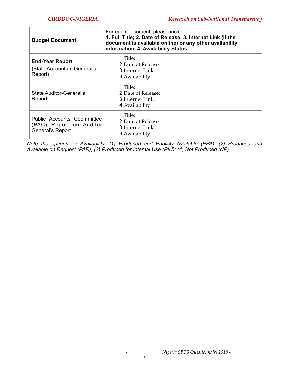| <b>Budget Document</b>                                                    | For each document, please include:<br>1. Full Title; 2. Date of Release, 3. Internet Link (if the<br>document is available online) or any other availability<br>information, 4. Availability Status. |  |
|---------------------------------------------------------------------------|------------------------------------------------------------------------------------------------------------------------------------------------------------------------------------------------------|--|
| <b>End-Year Report</b><br>(State Accountant General's<br>Report)          | 1.Title:<br>2. Date of Release:<br>3.Internet Link:<br>4. Availability:                                                                                                                              |  |
| State Auditor-General's<br>Report                                         | 1.Title:<br>2. Date of Release:<br>3.Internet Link:<br>4. Availability:                                                                                                                              |  |
| Public Accounts Coommittee<br>(PAC) Report on Auditor<br>General's Report | 1.Title:<br>2. Date of Release:<br>3. Internet Link:<br>4. Availability:                                                                                                                             |  |

*Note the options for Availability: (1) Produced and Publicly Available (PPA); (2) Produced and Available on Request (PAR); (3) Produced for Internal Use (PIU); (4) Not Produced (NP)*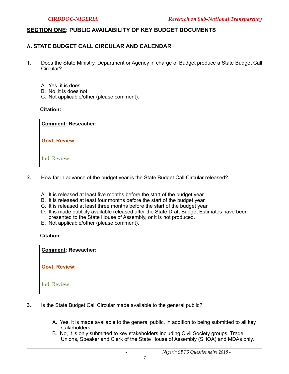# **SECTION ONE: PUBLIC AVAILABILITY OF KEY BUDGET DOCUMENTS**

# **A.STATE BUDGET CALL CIRCULAR AND CALENDAR**

- **1.** Does the State Ministry, Department or Agency in charge of Budget produce a State Budget Call Circular?
	- A. Yes, it is does.
	- B. No, it is does not
	- C. Not applicable/other (please comment).

#### **Citation:**

1. **Comment: Reseacher:** 

Govt. Review:

5. Ind. Review:

- **2.** How far in advance of the budget year is the State Budget Call Circular released?
	- A. It is released at least five months before the start of the budget year.
	- B. It is released at least four months before the start of the budget year.
	- C. It is released at least three months before the start of the budget year.
	- D. It is made publicly available released after the State Draft Budget Estimates have been presented to the State House of Assembly, or it is not produced.
	- E. Not applicable/other (please comment).

#### **Citation:**

1. **Comment: Reseacher:** 

2. **Govt. Review:** 

- **3.** Is the State Budget Call Circular made available to the general public?
	- A. Yes, it is made available to the general public, in addition to being submitted to all key stakeholders
	- B. No, it is only submitted to key stakeholders including Civil Society groups, Trade Unions, Speaker and Clerk of the State House of Assembly (SHOA) and MDAs only.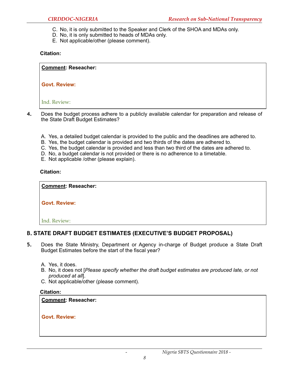- C. No, it is only submitted to the Speaker and Clerk of the SHOA and MDAs only.
- D. No, it is only submitted to heads of MDAs only.
- E. Not applicable/other (please comment).

1. **Comment: Reseacher:** 

2. **Govt. Review:** 

4. Ind. Review:

- **4.** Does the budget process adhere to a publicly available calendar for preparation and release of the State Draft Budget Estimates?
	- A. Yes, a detailed budget calendar is provided to the public and the deadlines are adhered to.
	- B. Yes, the budget calendar is provided and two thirds of the dates are adhered to.
	- C. Yes, the budget calendar is provided and less than two third of the dates are adhered to.
	- D. No, a budget calendar is not provided or there is no adherence to a timetable.
	- E. Not applicable /other (please explain).

#### **Citation:**

1. **Comment: Reseacher:** 

2. **Govt. Review:** 

4. Ind. Review:

# **B. STATE DRAFT BUDGET ESTIMATES (EXECUTIVE'S BUDGET PROPOSAL)**

- **5.** Does the State Ministry, Department or Agency in-charge of Budget produce a State Draft Budget Estimates before the start of the fiscal year?
	- A. Yes, it does.
	- B. No, it does not [*Please specify whether the draft budget estimates are produced late, or not produced at all*].
	- C. Not applicable/other (please comment).

# **Citation:**

**Comment: Reseacher:** 

Govt. Review: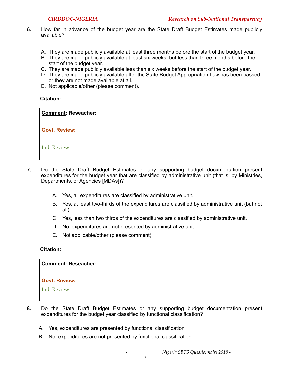- **6.** How far in advance of the budget year are the State Draft Budget Estimates made publicly available?
	- A. They are made publicly available at least three months before the start of the budget year.
	- B. They are made publicly available at least six weeks, but less than three months before the start of the budget year.
	- C. They are made publicly available less than six weeks before the start of the budget year.
	- D. They are made publicly available after the State Budget Appropriation Law has been passed, or they are not made available at all.
	- E. Not applicable/other (please comment).

1. **Comment: Reseacher:** 

2. **Govt. Review:** 

4. Ind. Review:

- **7.** Do the State Draft Budget Estimates or any supporting budget documentation present expenditures for the budget year that are classified by administrative unit (that is, by Ministries, Departments, or Agencies [MDAs])?
	- A. Yes, all expenditures are classified by administrative unit.
	- B. Yes, at least two-thirds of the expenditures are classified by administrative unit (but not all).
	- C. Yes, less than two thirds of the expenditures are classified by administrative unit.
	- D. No, expenditures are not presented by administrative unit.
	- E. Not applicable/other (please comment).

#### **Citation:**

#### <u>.</u> **Comment: Reseacher:**

#### 2. **Govt. Review:**

- **8.** Do the State Draft Budget Estimates or any supporting budget documentation present expenditures for the budget year classified by functional classification?
	- A. Yes, expenditures are presented by functional classification
	- B. No, expenditures are not presented by functional classification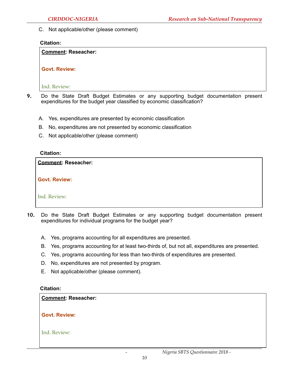C. Not applicable/other (please comment)

#### **Citation:**

#### **Comment: Reseacher:**

Govt. Review:

Ind. Review:

- **9.** Do the State Draft Budget Estimates or any supporting budget documentation present expenditures for the budget year classified by economic classification?
	- A. Yes, expenditures are presented by economic classification
	- B. No, expenditures are not presented by economic classification
	- C. Not applicable/other (please comment)

#### **Citation:**

| <b>Comment: Reseacher:</b> |  |
|----------------------------|--|
| <b>Govt. Review:</b>       |  |
| Ind. Review:               |  |

- **10.** Do the State Draft Budget Estimates or any supporting budget documentation present expenditures for individual programs for the budget year?
	- A. Yes, programs accounting for all expenditures are presented.
	- B. Yes, programs accounting for at least two-thirds of, but not all, expenditures are presented.
	- C. Yes, programs accounting for less than two-thirds of expenditures are presented.
	- D. No, expenditures are not presented by program.
	- E. Not applicable/other (please comment).

#### **Citation:**

#### **Comment: Reseacher:**

Govt. Review: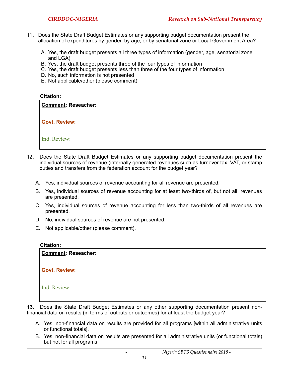- 11. Does the State Draft Budget Estimates or any supporting budget documentation present the allocation of expenditures by gender, by age, or by senatorial zone or Local Government Area?
	- A. Yes, the draft budget presents all three types of information (gender, age, senatorial zone and LGA)
	- B. Yes, the draft budget presents three of the four types of information
	- C. Yes, the draft budget presents less than three of the four types of information
	- D. No, such information is not presented
	- E. Not applicable/other (please comment)

**Comment: Reseacher:** 

Govt. Review:

4. Ind. Review:

- 12. Does the State Draft Budget Estimates or any supporting budget documentation present the individual sources of revenue (internally generated revenues such as turnover tax, VAT, or stamp duties and transfers from the federation account for the budget year?
	- A. Yes, individual sources of revenue accounting for all revenue are presented.
	- B. Yes, individual sources of revenue accounting for at least two-thirds of, but not all, revenues are presented.
	- C. Yes, individual sources of revenue accounting for less than two-thirds of all revenues are presented.
	- D. No, individual sources of revenue are not presented.
	- E. Not applicable/other (please comment).

#### **Citation:**

**Comment: Reseacher:** 

Govt. Review:

4. Ind. Review:

**13.** Does the State Draft Budget Estimates or any other supporting documentation present nonfinancial data on results (in terms of outputs or outcomes) for at least the budget year?

- A. Yes, non-financial data on results are provided for all programs [within all administrative units or functional totals].
- B. Yes, non-financial data on results are presented for all administrative units (or functional totals) but not for all programs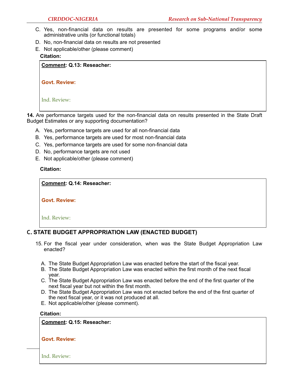- C. Yes, non-financial data on results are presented for some programs and/or some administrative units (or functional totals)
- D. No, non-financial data on results are not presented
- E. Not applicable/other (please comment) **Citation:**

**Comment: Q.13: Reseacher:** 

| <b>Govt. Review:</b> |
|----------------------|
|                      |

4. Ind. Review:

**14.** Are performance targets used for the non-financial data on results presented in the State Draft Budget Estimates or any supporting documentation?

- A. Yes, performance targets are used for all non-financial data
- B. Yes, performance targets are used for most non-financial data
- C. Yes, performance targets are used for some non-financial data
- D. No, performance targets are not used
- E. Not applicable/other (please comment)

#### **Citation:**

1. **Comment: Q.14: Reseacher:** 

2. **Govt. Review:** 

4. Ind. Review:

# **C. STATE BUDGET APPROPRIATION LAW (ENACTED BUDGET)**

- 15. For the fiscal year under consideration, when was the State Budget Appropriation Law enacted?
	- A. The State Budget Appropriation Law was enacted before the start of the fiscal year.
	- B. The State Budget Appropriation Law was enacted within the first month of the next fiscal year.
	- C. The State Budget Appropriation Law was enacted before the end of the first quarter of the next fiscal year but not within the first month.
	- D. The State Budget Appropriation Law was not enacted before the end of the first quarter of the next fiscal year, or it was not produced at all.
	- E. Not applicable/other (please comment).

#### **Citation:**

**Comment: Q.15: Reseacher:** 

#### **Govt. Review:**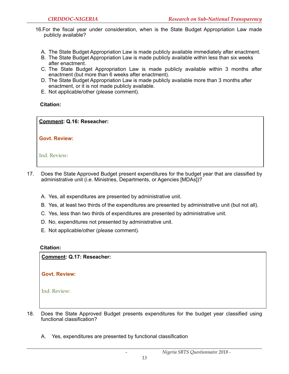- 16.For the fiscal year under consideration, when is the State Budget Appropriation Law made publicly available?
	- A. The State Budget Appropriation Law is made publicly available immediately after enactment.
	- B. The State Budget Appropriation Law is made publicly available within less than six weeks after enactment.
	- C. The State Budget Appropriation Law is made publicly available within 3 months after enactment (but more than 6 weeks after enactment).
	- D. The State Budget Appropriation Law is made publicly available more than 3 months after enactment, or it is not made publicly available.
	- E. Not applicable/other (please comment).

1. **Comment: Q.16: Reseacher:** 

3. **Govt. Review:** 

5. Ind. Review:

- 17. Does the State Approved Budget present expenditures for the budget year that are classified by administrative unit (i.e. Ministries, Departments, or Agencies [MDAs])?
	- A. Yes, all expenditures are presented by administrative unit.
	- B. Yes, at least two thirds of the expenditures are presented by administrative unit (but not all).
	- C. Yes, less than two thirds of expenditures are presented by administrative unit.
	- D. No, expenditures not presented by administrative unit.
	- E. Not applicable/other (please comment).

#### **Citation:**

**Comment: Q.17: Reseacher:** 

Govt. Review:

- 18. Does the State Approved Budget presents expenditures for the budget year classified using functional classification?
	- A. Yes, expenditures are presented by functional classification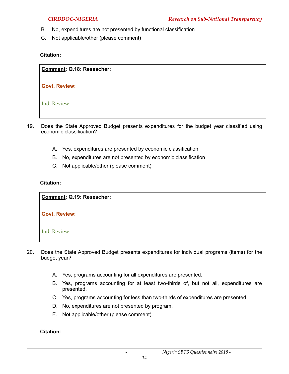- B. No, expenditures are not presented by functional classification
- C. Not applicable/other (please comment)

1. **Comment: Q.18: Reseacher:** 

2. **Govt. Review:** 

4. Ind. Review:

- 19. Does the State Approved Budget presents expenditures for the budget year classified using economic classification?
	- A. Yes, expenditures are presented by economic classification
	- B. No, expenditures are not presented by economic classification
	- C. Not applicable/other (please comment)

#### **Citation:**

<u>.</u> **Comment: Q.19: Reseacher:** 

2. **Govt. Review:** 

4. Ind. Review:

- 20. Does the State Approved Budget presents expenditures for individual programs (items) for the budget year?
	- A. Yes, programs accounting for all expenditures are presented.
	- B. Yes, programs accounting for at least two-thirds of, but not all, expenditures are presented.
	- C. Yes, programs accounting for less than two-thirds of expenditures are presented.
	- D. No, expenditures are not presented by program.
	- E. Not applicable/other (please comment).

**Citation:**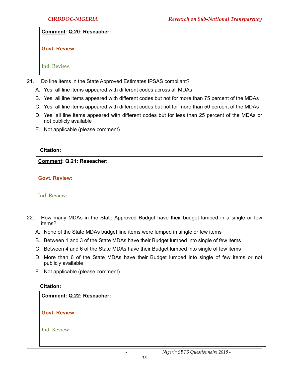Comment: Q.20: Reseacher:

Govt. Review:

Ind. Review:

- 21. Do line items in the State Approved Estimates IPSAS compliant?
	- A. Yes, all line items appeared with different codes across all MDAs
	- B. Yes, all line items appeared with different codes but not for more than 75 percent of the MDAs
	- C. Yes, all line items appeared with different codes but not for more than 50 percent of the MDAs
	- D. Yes, all line items appeared with different codes but for less than 25 percent of the MDAs or not publicly available
	- E. Not applicable (please comment)

#### **Citation:**

**Comment: Q.21: Reseacher:** 

**Govt. Review:** 

Ind. Review:

- 22. How many MDAs in the State Approved Budget have their budget lumped in a single or few items?
	- A. None of the State MDAs budget line items were lumped in single or few items
	- B. Between 1 and 3 of the State MDAs have their Budget lumped into single of few items
	- C. Between 4 and 6 of the State MDAs have their Budget lumped into single of few items
	- D. More than 6 of the State MDAs have their Budget lumped into single of few items or not publicly available
	- E. Not applicable (please comment)

# **Citation:**

**Comment: Q.22: Reseacher:** 

**Govt. Review:**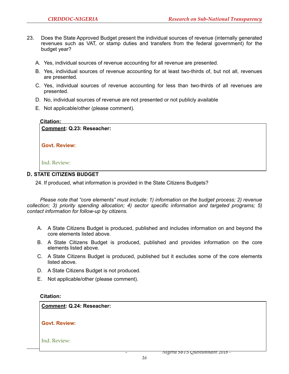- 23. Does the State Approved Budget present the individual sources of revenue (internally generated revenues such as VAT, or stamp duties and transfers from the federal government) for the budget year?
	- A. Yes, individual sources of revenue accounting for all revenue are presented.
	- B. Yes, individual sources of revenue accounting for at least two-thirds of, but not all, revenues are presented.
	- C. Yes, individual sources of revenue accounting for less than two-thirds of all revenues are presented.
	- D. No, individual sources of revenue are not presented or not publicly available
	- E. Not applicable/other (please comment).

| Comment: Q.23: Reseacher: |  |
|---------------------------|--|
| <b>Govt. Review:</b>      |  |
| Ind. Review:              |  |

# 24. If produced, what information is provided in the State Citizens Budgets?

*Please note that "core elements" must include: 1) information on the budget process; 2) revenue collection; 3) priority spending allocation; 4) sector specific information and targeted programs; 5) contact information for follow-up by citizens.* 

- A. A State Citizens Budget is produced, published and includes information on and beyond the core elements listed above.
- B. A State Citizens Budget is produced, published and provides information on the core elements listed above.
- C. A State Citizens Budget is produced, published but it excludes some of the core elements listed above.
- D. A State Citizens Budget is not produced.
- E. Not applicable/other (please comment).

#### **Citation:**

**Comment: Q.24: Reseacher:** 

Govt. Review:

#### 4. Ind. Review:

- *Nigeria SBTS Questionnaire 2018 -*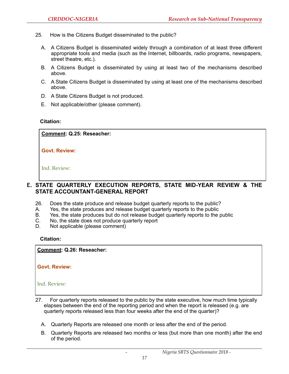- 25. How is the Citizens Budget disseminated to the public?
	- A. A Citizens Budget is disseminated widely through a combination of at least three different appropriate tools and media (such as the Internet, billboards, radio programs, newspapers, street theatre, etc.).
	- B. A Citizens Budget is disseminated by using at least two of the mechanisms described above.
	- C. A State Citizens Budget is disseminated by using at least one of the mechanisms described above.
	- D. A State Citizens Budget is not produced.
	- E. Not applicable/other (please comment).

**Comment: Q.25: Reseacher:** 

Govt. Review:

Ind. Review:

# **E. STATE QUARTERLY EXECUTION REPORTS, STATE MID-YEAR REVIEW & THE STATE ACCOUNTANT-GENERAL REPORT**

- 26. Does the state produce and release budget quarterly reports to the public?
- A. Yes, the state produces and release budget quarterly reports to the public
- B. Yes, the state produces but do not release budget quarterly reports to the public
- C. No, the state does not produce quarterly report
- D. Not applicable (please comment)

#### **Citation:**

**Comment: Q.26: Reseacher:** 

Govt. Review:

- 27. For quarterly reports released to the public by the state executive, how much time typically elapses between the end of the reporting period and when the report is released (e.g. are quarterly reports released less than four weeks after the end of the quarter)?
	- A. Quarterly Reports are released one month or less after the end of the period.
	- B. Quarterly Reports are released two months or less (but more than one month) after the end of the period.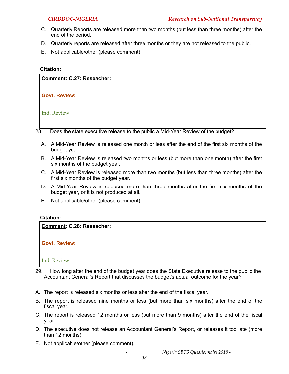- C. Quarterly Reports are released more than two months (but less than three months) after the end of the period.
- D. Quarterly reports are released after three months or they are not released to the public.
- E. Not applicable/other (please comment).

| Comment: Q.27: Reseacher:                                                              |
|----------------------------------------------------------------------------------------|
| <b>Govt. Review:</b>                                                                   |
| Ind. Review:                                                                           |
| 28.<br>Does the state executive release to the public a Mid-Year Review of the budget? |

- A. A Mid-Year Review is released one month or less after the end of the first six months of the budget year.
- B. A Mid-Year Review is released two months or less (but more than one month) after the first six months of the budget year.
- C. A Mid-Year Review is released more than two months (but less than three months) after the first six months of the budget year.
- D. A Mid-Year Review is released more than three months after the first six months of the budget year, or it is not produced at all.
- E. Not applicable/other (please comment).

#### **Citation:**

**Comment: Q.28: Reseacher:** 

Govt. Review:

- 29. How long after the end of the budget year does the State Executive release to the public the Accountant General's Report that discusses the budget's actual outcome for the year?
- A. The report is released six months or less after the end of the fiscal year.
- B. The report is released nine months or less (but more than six months) after the end of the fiscal year.
- C. The report is released 12 months or less (but more than 9 months) after the end of the fiscal year.
- D. The executive does not release an Accountant General's Report, or releases it too late (more than 12 months).
- E. Not applicable/other (please comment).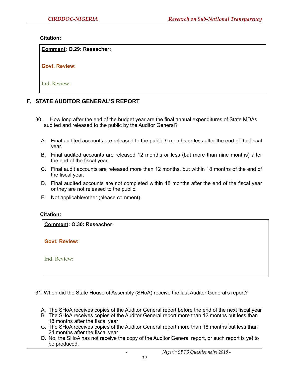**Comment: Q.29: Reseacher:** 

Govt. Review:

Ind. Review:

# **F. STATE AUDITOR GENERAL'S REPORT**

- 30. How long after the end of the budget year are the final annual expenditures of State MDAs audited and released to the public by the Auditor General?
	- A. Final audited accounts are released to the public 9 months or less after the end of the fiscal year.
	- B. Final audited accounts are released 12 months or less (but more than nine months) after the end of the fiscal year.
	- C. Final audit accounts are released more than 12 months, but within 18 months of the end of the fiscal year.
	- D. Final audited accounts are not completed within 18 months after the end of the fiscal year or they are not released to the public.
	- E. Not applicable/other (please comment).

#### **Citation:**

**Comment: Q.30: Reseacher:** 

**Govt. Review:** 

Ind. Review:

31. When did the State House of Assembly (SHoA) receive the last Auditor General's report?

- A. The SHoA receives copies of the Auditor General report before the end of the next fiscal year
- B. The SHoA receives copies of the Auditor General report more than 12 months but less than 18 months after the fiscal year
- C. The SHoA receives copies of the Auditor General report more than 18 months but less than 24 months after the fiscal year
- D. No, the SHoA has not receive the copy of the Auditor General report, or such report is yet to be produced.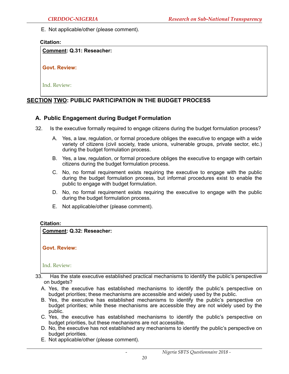E. Not applicable/other (please comment).

#### **Citation:**

**Comment: Q.31: Reseacher:** 

**Govt. Review:** 

Ind. Review:

# **SECTION TWO: PUBLIC PARTICIPATION IN THE BUDGET PROCESS**

# **A. Public Engagement during Budget Formulation**

- 32. Is the executive formally required to engage citizens during the budget formulation process?
	- A. Yes, a law, regulation, or formal procedure obliges the executive to engage with a wide variety of citizens (civil society, trade unions, vulnerable groups, private sector, etc.) during the budget formulation process.
	- B. Yes, a law, regulation, or formal procedure obliges the executive to engage with certain citizens during the budget formulation process.
	- C. No, no formal requirement exists requiring the executive to engage with the public during the budget formulation process, but informal procedures exist to enable the public to engage with budget formulation.
	- D. No, no formal requirement exists requiring the executive to engage with the public during the budget formulation process.
	- E. Not applicable/other (please comment).

#### **Citation:**

#### **Comment: Q.32: Reseacher:**

**Govt. Review:** 

- A. Yes, the executive has established mechanisms to identify the public's perspective on budget priorities; these mechanisms are accessible and widely used by the public.
- B. Yes, the executive has established mechanisms to identify the public's perspective on budget priorities; while these mechanisms are accessible they are not widely used by the public.
- C. Yes, the executive has established mechanisms to identify the public's perspective on budget priorities, but these mechanisms are not accessible.
- D. No, the executive has not established any mechanisms to identify the public's perspective on budget priorities.
- E. Not applicable/other (please comment).

<sup>33.</sup> Has the state executive established practical mechanisms to identify the public's perspective on budgets?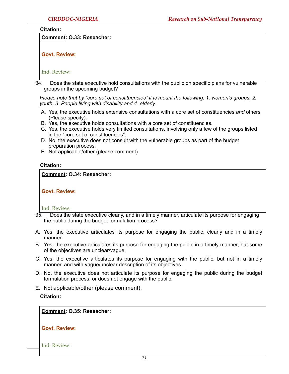**Comment: Q.33: Reseacher:** 

# Govt. Review:

# 4. Ind. Review:

34. Does the state executive hold consultations with the public on specific plans for vulnerable groups in the upcoming budget?

*Please note that by "core set of constituencies" it is meant the following: 1. women's groups, 2. youth, 3. People living with disability and 4. elderly.* 

- A. Yes, the executive holds extensive consultations with a core set of constituencies *and* others (Please specify).
- B. Yes, the executive holds consultations with a core set of constituencies.
- C. Yes, the executive holds very limited consultations, involving only a few of the groups listed in the "core set of constituencies".
- D. No, the executive does not consult with the vulnerable groups as part of the budget preparation process.
- E. Not applicable/other (please comment).

#### **Citation:**

#### **Comment: Q.34: Reseacher:**

Govt. Review:

Ind. Review:

- 35. Does the state executive clearly, and in a timely manner, articulate its purpose for engaging the public during the budget formulation process?
- A. Yes, the executive articulates its purpose for engaging the public, clearly and in a timely manner.
- B. Yes, the executive articulates its purpose for engaging the public in a timely manner, but some of the objectives are unclear/vague.
- C. Yes, the executive articulates its purpose for engaging with the public, but not in a timely manner, and with vague/unclear description of its objectives.
- D. No, the executive does not articulate its purpose for engaging the public during the budget formulation process, or does not engage with the public.
- E. Not applicable/other (please comment).

#### **Citation:**

# 1. **Comment: Q.35: Reseacher:**

#### **Govt. Review:**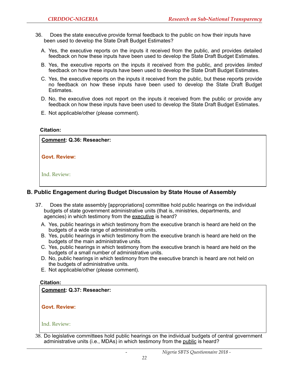- 36. Does the state executive provide formal feedback to the public on how their inputs have been used to develop the State Draft Budget Estimates?
	- A. Yes, the executive reports on the inputs it received from the public, and provides detailed feedback on how these inputs have been used to develop the State Draft Budget Estimates.
	- B. Yes, the executive reports on the inputs it received from the public, and provides *limited* feedback on how these inputs have been used to develop the State Draft Budget Estimates.
	- C. Yes, the executive reports on the inputs it received from the public, but these reports provide no feedback on how these inputs have been used to develop the State Draft Budget Estimates.
	- D. No, the executive does not report on the inputs it received from the public or provide any feedback on how these inputs have been used to develop the State Draft Budget Estimates.
	- E. Not applicable/other (please comment).

Govt. Review: **Comment: Q.36: Reseacher:** 

4. Ind. Review:

# **B. Public Engagement during Budget Discussion by State House of Assembly**

- 37. Does the state assembly [appropriations] committee hold public hearings on the individual budgets of state government administrative units (that is, ministries, departments, and agencies) in which testimony from the executive is heard?
	- A. Yes, public hearings in which testimony from the executive branch is heard are held on the budgets of a wide range of administrative units.
	- B. Yes, public hearings in which testimony from the executive branch is heard are held on the budgets of the main administrative units.
	- C. Yes, public hearings in which testimony from the executive branch is heard are held on the budgets of a small number of administrative units.
	- D. No, public hearings in which testimony from the executive branch is heard are not held on the budgets of administrative units.
	- E. Not applicable/other (please comment).

#### **Citation:**

**Comment: Q.37: Reseacher:** 

Govt. Review:

Ind. Review:

38. Do legislative committees hold public hearings on the individual budgets of central government administrative units (i.e., MDAs) in which testimony from the public is heard?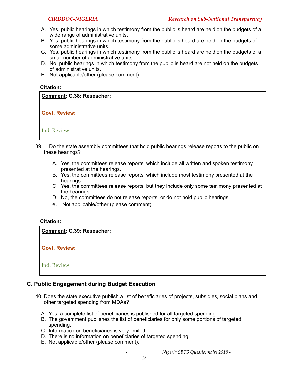- A. Yes, public hearings in which testimony from the public is heard are held on the budgets of a wide range of administrative units.
- B. Yes, public hearings in which testimony from the public is heard are held on the budgets of some administrative units.
- C. Yes, public hearings in which testimony from the public is heard are held on the budgets of a small number of administrative units.
- D. No, public hearings in which testimony from the public is heard are not held on the budgets of administrative units.
- E. Not applicable/other (please comment).

# Govt. Review: 4. Ind. Review: **Comment: Q.38: Reseacher:**

- 39. Do the state assembly committees that hold public hearings release reports to the public on these hearings?
	- A. Yes, the committees release reports, which include all written and spoken testimony presented at the hearings.
	- B. Yes, the committees release reports, which include most testimony presented at the hearings.
	- C. Yes, the committees release reports, but they include only some testimony presented at the hearings.
	- D. No, the committees do not release reports, or do not hold public hearings.
	- e. Not applicable/other (please comment).

#### **Citation:**

**Comment: Q.39: Reseacher:** 

Govt. Review:

4. Ind. Review:

# **C. Public Engagement during Budget Execution**

- 40. Does the state executive publish a list of beneficiaries of projects, subsidies, social plans and other targeted spending from MDAs?
	- A. Yes, a complete list of beneficiaries is published for all targeted spending.
	- B. The government publishes the list of beneficiaries for only some portions of targeted spending.
	- C. Information on beneficiaries is very limited.
	- D. There is no information on beneficiaries of targeted spending.
	- E. Not applicable/other (please comment).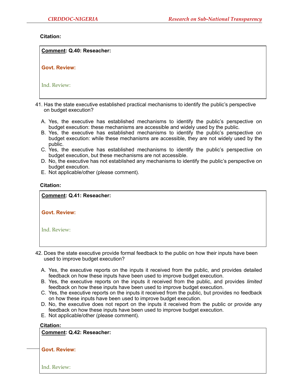| <b>Comment: Q.40: Reseacher:</b> |  |
|----------------------------------|--|
| <b>Govt. Review:</b>             |  |
| Ind. Review:                     |  |

- 41. Has the state executive established practical mechanisms to identify the public's perspective on budget execution?
	- A. Yes, the executive has established mechanisms to identify the public's perspective on budget execution: these mechanisms are accessible and widely used by the public.
	- B. Yes, the executive has established mechanisms to identify the public's perspective on budget execution: while these mechanisms are accessible, they are not widely used by the public.
	- C. Yes, the executive has established mechanisms to identify the public's perspective on budget execution, but these mechanisms are not accessible.
	- D. No, the executive has not established any mechanisms to identify the public's perspective on budget execution.
	- E. Not applicable/other (please comment).

#### **Citation:**

Govt. Review: **Comment: Q.41: Reseacher:**  Ind. Review:

- 42. Does the state executive provide formal feedback to the public on how their inputs have been used to improve budget execution?
	- A. Yes, the executive reports on the inputs it received from the public, and provides detailed feedback on how these inputs have been used to improve budget execution.
	- B. Yes, the executive reports on the inputs it received from the public, and provides *limited* feedback on how these inputs have been used to improve budget execution.
	- C. Yes, the executive reports on the inputs it received from the public, but provides no feedback on how these inputs have been used to improve budget execution.
	- D. No, the executive does not report on the inputs it received from the public or provide any feedback on how these inputs have been used to improve budget execution.
	- E. Not applicable/other (please comment).

#### **Citation:**

**Comment: Q.42: Reseacher:** 

**Govt. Review:**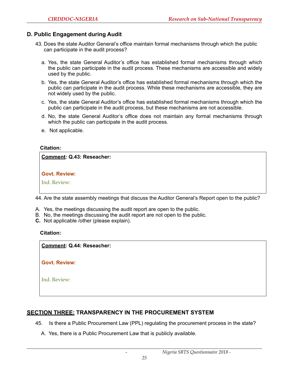### **D. Public Engagement during Audit**

- 43. Does the state Auditor General's office maintain formal mechanisms through which the public can participate in the audit process?
	- a. Yes, the state General Auditor's office has established formal mechanisms through which the public can participate in the audit process. These mechanisms are accessible and widely used by the public.
	- b. Yes, the state General Auditor's office has established formal mechanisms through which the public can participate in the audit process. While these mechanisms are accessible, they are not widely used by the public.
	- c. Yes, the state General Auditor's office has established formal mechanisms through which the public can participate in the audit process, but these mechanisms are not accessible.
	- d. No, the state General Auditor's office does not maintain any formal mechanisms through which the public can participate in the audit process.
	- e. Not applicable.

#### **Citation:**

**Comment: Q.43: Reseacher:** 

| <b>Govt. Review:</b> |
|----------------------|
|                      |

3. Ind. Review:

44. Are the state assembly meetings that discuss the Auditor General's Report open to the public?

- A. Yes, the meetings discussing the audit report are open to the public.
- B. No, the meetings discussing the audit report are not open to the public.
- **C.** Not applicable /other (please explain).

#### **Citation:**

**Comment: Q.44: Reseacher:** 

Govt. Review:

Ind. Review:

# **SECTION THREE: TRANSPARENCY IN THE PROCUREMENT SYSTEM**

- 45. Is there a Public Procurement Law (PPL) regulating the procurement process in the state?
	- A. Yes, there is a Public Procurement Law that is publicly available.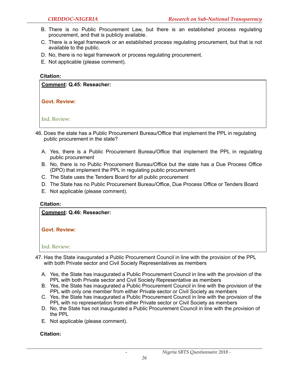- B. There is no Public Procurement Law, but there is an established process regulating procurement, and that is publicly available.
- C. There is a legal framework or an established process regulating procurement, but that is not available to the public.
- D. No, there is no legal framework or process regulating procurement.
- E. Not applicable (please comment).



Ind. Review:

- 46. Does the state has a Public Procurement Bureau/Office that implement the PPL in regulating public procurement in the state?
	- A. Yes, there is a Public Procurement Bureau/Office that implement the PPL in regulating public procurement
	- B. No, there is no Public Procurement Bureau/Office but the state has a Due Process Office (DPO) that implement the PPL in regulating public procurement
	- C. The State uses the Tenders Board for all public procurement
	- D. The State has no Public Procurement Bureau/Office, Due Process Office or Tenders Board
	- E. Not applicable (please comment).

#### **Citation:**



Ind. Review:

- 47. Has the State inaugurated a Public Procurement Council in line with the provision of the PPL with both Private sector and Civil Society Representatives as members
	- A. Yes, the State has inaugurated a Public Procurement Council in line with the provision of the PPL with both Private sector and Civil Society Representative as members
	- B. Yes, the State has inaugurated a Public Procurement Council in line with the provision of the PPL with only one member from either Private sector or Civil Society as members
	- C. Yes, the State has inaugurated a Public Procurement Council in line with the provision of the PPL with no representation from either Private sector or Civil Society as members
	- D. No, the State has not inaugurated a Public Procurement Council in line with the provision of the PPL
	- E. Not applicable (please comment).

# **Citation:**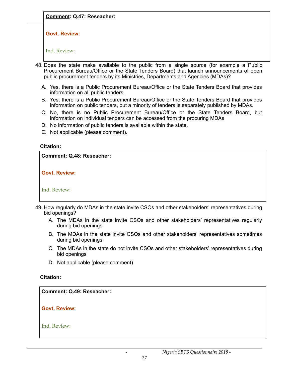*CIRDDOC-NIGERIA Research on Sub-National Transparency* **Comment: Q.47: Reseacher:** 

Govt. Review:

Ind. Review:

- 48. Does the state make available to the public from a single source (for example a Public Procurement Bureau/Office or the State Tenders Board) that launch announcements of open public procurement tenders by its Ministries, Departments and Agencies (MDAs)?
	- A. Yes, there is a Public Procurement Bureau/Office or the State Tenders Board that provides information on all public tenders.
	- B. Yes, there is a Public Procurement Bureau/Office or the State Tenders Board that provides information on public tenders, but a minority of tenders is separately published by MDAs.
	- C. No, there is no Public Procurement Bureau/Office or the State Tenders Board, but information on individual tenders can be accessed from the procuring MDAs
	- D. No information of public tenders is available within the state.
	- E. Not applicable (please comment).

#### **Citation:**

**Comment: Q.48: Reseacher:** 

Govt. Review:

Ind. Review:

- 49. How regularly do MDAs in the state invite CSOs and other stakeholders' representatives during bid openings?
	- A. The MDAs in the state invite CSOs and other stakeholders' representatives regularly during bid openings
	- B. The MDAs in the state invite CSOs and other stakeholders' representatives sometimes during bid openings
	- C. The MDAs in the state do not invite CSOs and other stakeholders' representatives during bid openings
	- D. Not applicable (please comment)

# **Citation:**

 $\overline{\phantom{a}}$ **Comment: Q.49: Reseacher:** 

4. **Govt. Review:**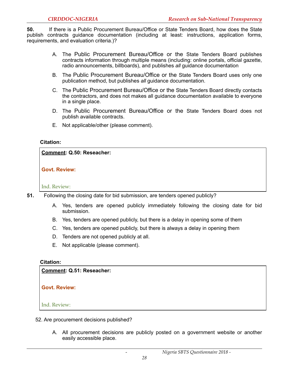**50.** If there is a Public Procurement Bureau/Office or State Tenders Board, how does the State publish contracts guidance documentation (including at least: instructions, application forms, requirements, and evaluation criteria.)?

- A. The Public Procurement Bureau/Office or the State Tenders Board publishes contracts information through multiple means (including: online portals, official gazette, radio announcements, billboards), and publishes *all* guidance documentation
- B. The Public Procurement Bureau/Office or the State Tenders Board uses only one publication method, but publishes *all* guidance documentation.
- C. The Public Procurement Bureau/Office or the State Tenders Board directly contacts the contractors, and does not makes all guidance documentation available to everyone in a single place.
- D. The Public Procurement Bureau/Office or the State Tenders Board does not publish available contracts.
- E. Not applicable/other (please comment).

#### **Citation:**

#### **Comment: Q.50: Reseacher:**

#### Govt. Review:

#### Ind. Review:

- **51.** Following the closing date for bid submission, are tenders opened publicly?
	- A. Yes, tenders are opened publicly immediately following the closing date for bid submission.
	- B. Yes, tenders are opened publicly, but there is a delay in opening some of them
	- C. Yes, tenders are opened publicly, but there is always a delay in opening them
	- D. Tenders are not opened publicly at all.
	- E. Not applicable (please comment).

#### **Citation:**

**Comment: Q.51: Reseacher:** 

**Govt. Review:** 

- 52. Are procurement decisions published?
	- A. All procurement decisions are publicly posted on a government website or another easily accessible place.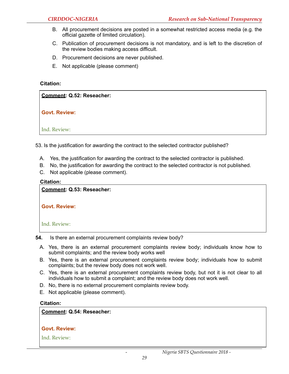- B. All procurement decisions are posted in a somewhat restricted access media (e.g. the official gazette of limited circulation).
- C. Publication of procurement decisions is not mandatory, and is left to the discretion of the review bodies making access difficult.
- D. Procurement decisions are never published.
- E. Not applicable (please comment)

| Comment: Q.52: Reseacher: |  |
|---------------------------|--|
| <b>Govt. Review:</b>      |  |
| Ind. Review:              |  |

53. Is the justification for awarding the contract to the selected contractor published?

- A. Yes, the justification for awarding the contract to the selected contractor is published.
- B. No, the justification for awarding the contract to the selected contractor is not published.
- C. Not applicable (please comment).

#### **Citation:**

**Comment: Q.53: Reseacher:** 

Govt. Review:

4. Ind. Review:

- **54.** Is there an external procurement complaints review body?
	- A. Yes, there is an external procurement complaints review body; individuals know how to submit complaints; and the review body works well
	- B. Yes, there is an external procurement complaints review body; individuals how to submit complaints; but the review body does not work well.
	- C. Yes, there is an external procurement complaints review body, but not it is not clear to all individuals how to submit a complaint; and the review body does not work well.
	- D. No, there is no external procurement complaints review body.
	- E. Not applicable (please comment).

#### **Citation:**

#### **Comment: Q.54: Reseacher:**

# Govt. Review: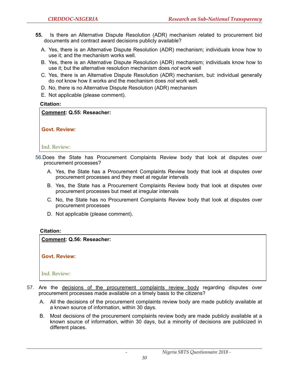- **55.** Is there an Alternative Dispute Resolution (ADR) mechanism related to procurement bid documents and contract award decisions publicly available?
	- A. Yes, there is an Alternative Dispute Resolution (ADR) mechanism; individuals know how to use it; and the mechanism works well.
	- B. Yes, there is an Alternative Dispute Resolution (ADR) mechanism; individuals know how to use it; but the alternative resolution mechanism does *not* work well
	- C. Yes, there is an Alternative Dispute Resolution (ADR) mechanism, but: individual generally do *not* know how it works and the mechanism does *not* work well.
	- D. No, there is no Alternative Dispute Resolution (ADR) mechanism
	- E. Not applicable (please comment).

**Comment: Q.55: Reseacher:** 

Govt. Review:

Ind. Review:

56.Does the State has Procurement Complaints Review body that look at disputes over procurement processes?

- A. Yes, the State has a Procurement Complaints Review body that look at disputes over procurement processes and they meet at regular intervals
- B. Yes, the State has a Procurement Complaints Review body that look at disputes over procurement processes but meet at irregular intervals
- C. No, the State has no Procurement Complaints Review body that look at disputes over procurement processes
- D. Not applicable (please comment).

#### **Citation:**

**Comment: Q.56: Reseacher:** 

**Govt. Review:** 

- 57. Are the decisions of the procurement complaints review body regarding disputes over procurement processes made available on a timely basis to the citizens?
	- A. All the decisions of the procurement complaints review body are made publicly available at a known source of information, within 30 days.
	- B. Most decisions of the procurement complaints review body are made publicly available at a known source of information, within 30 days, but a minority of decisions are publicized in different places.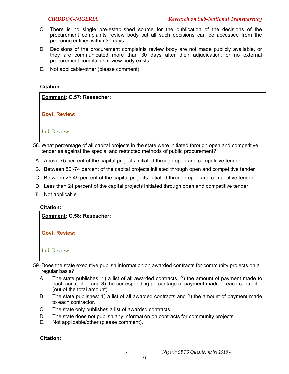- C. There is no single pre-established source for the publication of the decisions of the procurement complaints review body but all such decisions can be accessed from the procuring entities within 30 days.
- D. Decisions of the procurement complaints review body are not made publicly available, or they are communicated more than 30 days after their adjudication, or no external procurement complaints review body exists.
- E. Not applicable/other (please comment).

**Comment: Q.57: Reseacher:** 

Govt. Review:

Ind. Review:

- 58. What percentage of all capital projects in the state were initiated through open and competitive tender as against the special and restricted methods of public procurement?
- A. Above 75 percent of the capital projects initiated through open and competitive tender
- B. Between 50 -74 percent of the capital projects initiated through open and competitive tender
- C. Between 25-49 percent of the capital projects initiated through open and competitive tender
- D. Less than 24 percent of the capital projects initiated through open and competitive tender
- E. Not applicable

#### **Citation:**

**Comment: Q.58: Reseacher:** 

Govt. Review:

- 59. Does the state executive publish information on awarded contracts for community projects on a regular basis?
	- A. The state publishes: 1) a list of all awarded contracts, 2) the amount of payment made to each contractor, and 3) the corresponding percentage of payment made to each contractor (out of the total amount).
	- B. The state publishes: 1) a list of all awarded contracts and 2) the amount of payment made to each contractor.
	- C. The state only publishes a list of awarded contracts.
	- D. The state does not publish any information on contracts for community projects.
	- E. Not applicable/other (please comment).

**Citation:** 

Ind. Review: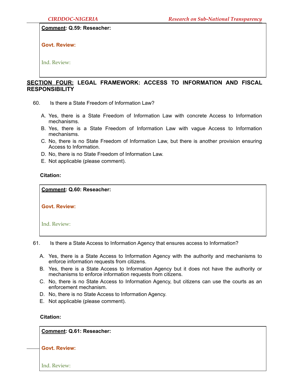#### **Comment: Q.59: Reseacher:**

Govt. Review:

4. Ind. Review:

# **SECTION FOUR: LEGAL FRAMEWORK: ACCESS TO INFORMATION AND FISCAL RESPONSIBILITY**

- 60. Is there a State Freedom of Information Law?
	- A. Yes, there is a State Freedom of Information Law with concrete Access to Information mechanisms.
	- B. Yes, there is a State Freedom of Information Law with vague Access to Information mechanisms.
	- C. No, there is no State Freedom of Information Law, but there is another provision ensuring Access to Information.
	- D. No, there is no State Freedom of Information Law.
	- E. Not applicable (please comment).

#### **Citation:**

1. **Comment: Q.60: Reseacher:** 

2. **Govt. Review:** 

4. Ind. Review:

- 61. Is there a State Access to Information Agency that ensures access to Information?
	- A. Yes, there is a State Access to Information Agency with the authority and mechanisms to enforce information requests from citizens.
	- B. Yes, there is a State Access to Information Agency but it does not have the authority or mechanisms to enforce information requests from citizens.
	- C. No, there is no State Access to Information Agency, but citizens can use the courts as an enforcement mechanism.
	- D. No, there is no State Access to Information Agency.
	- E. Not applicable (please comment).

#### **Citation:**

1. **Comment: Q.61: Reseacher:** 

2. **Govt. Review:**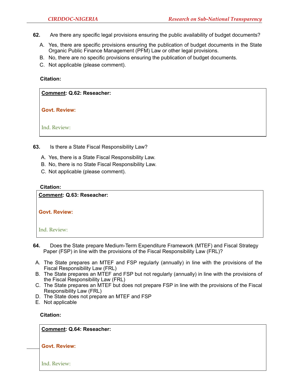- **62.** Are there any specific legal provisions ensuring the public availability of budget documents?
	- A. Yes, there are specific provisions ensuring the publication of budget documents in the State Organic Public Finance Management (PFM) Law or other legal provisions.
	- B. No, there are no specific provisions ensuring the publication of budget documents.
	- C. Not applicable (please comment).

1. **Comment: Q.62: Reseacher:** 

2. **Govt. Review:** 

4. Ind. Review:

- **63.** Is there a State Fiscal Responsibility Law?
	- A. Yes, there is a State Fiscal Responsibility Law.
	- B. No, there is no State Fiscal Responsibility Law.
	- C. Not applicable (please comment).

#### **Citation:**

**Comment: Q.63: Reseacher: Govt. Review:** 

Ind. Review:

- **64.** Does the State prepare Medium-Term Expenditure Framework (MTEF) and Fiscal Strategy Paper (FSP) in line with the provisions of the Fiscal Responsibility Law (FRL)?
- A. The State prepares an MTEF and FSP regularly (annually) in line with the provisions of the Fiscal Responsibility Law (FRL)
- B. The State prepares an MTEF and FSP but not regularly (annually) in line with the provisions of the Fiscal Responsibility Law (FRL)
- C. The State prepares an MTEF but does not prepare FSP in line with the provisions of the Fiscal Responsibility Law (FRL)
- D. The State does not prepare an MTEF and FSP
- E. Not applicable

#### **Citation:**

1. **Comment: Q.64: Reseacher:** 

**Govt. Review:**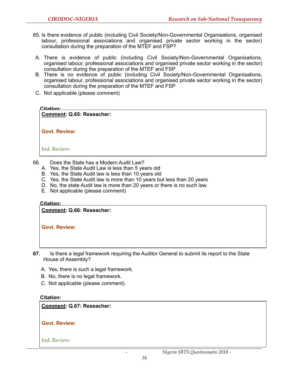- 65. Is there evidence of public (including Civil Society/Non-Governmental Organisations, organised labour, professional associations and organised private sector working in the sector) consultation during the preparation of the MTEF and FSP?
- A. There is evidence of public (including Civil Society/Non-Governmental Organisations, organised labour, professional associations and organised private sector working in the sector) consultation during the preparation of the MTEF and FSP
- B. There is no evidence of public (including Civil Society/Non-Governmental Organisations, organised labour, professional associations and organised private sector working in the sector) consultation during the preparation of the MTEF and FSP
- C. Not applicable (please comment)

**Comment: Q.65: Reseacher:** 

**Govt. Review:** 

Ind. Review:

- 66. Does the State has a Modern Audit Law?
	- A. Yes, the State Audit Law is less than 5 years old
	- B. Yes, the State Audit law is less than 10 years old
	- C. Yes, the State Audit law is more than 10 years but less than 20 years
	- D. No, the state Audit law is more than 20 years or there is no such law.
	- E. Not applicable (please comment)

**Citation:** 

**Comment: Q.66: Reseacher:** 

**Govt. Review:** 

- **67.** Is there a legal framework requiring the Auditor General to submit its report to the State House of Assembly?
	- A. Yes, there is such a legal framework.
	- B. No, there is no legal framework.
	- C. Not applicable (please comment).

#### **Citation:**

**Comment: Q.67: Reseacher:** 

Govt. Review: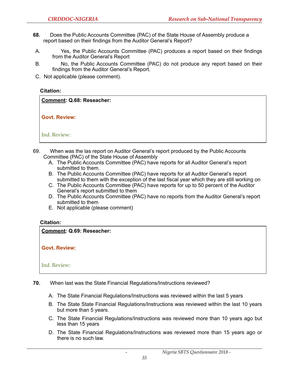- **68.** Does the Public Accounts Committee (PAC) of the State House of Assembly produce a report based on their findings from the Auditor General's Report?
- A. Yes, the Public Accounts Committee (PAC) produces a report based on their findings from the Auditor General's Report
- B. No, the Public Accounts Committee (PAC) do not produce any report based on their findings from the Auditor General's Report.
- C. Not applicable (please comment).

**Comment: Q.68: Reseacher:** 

**Govt. Review:** 

Ind. Review:

- 69. When was the las report on Auditor General's report produced by the Public Accounts Committee (PAC) of the State House of Assembly
	- A. The Public Accounts Committee (PAC) have reports for all Auditor General's report submitted to them.
	- B. The Public Accounts Committee (PAC) have reports for all Auditor General's report submitted to them with the exception of the last fiscal year which they are still working on
	- C. The Public Accounts Committee (PAC) have reports for up to 50 percent of the Auditor General's report submitted to them
	- D. The Public Accounts Committee (PAC) have no reports from the Auditor General's report submitted to them
	- E. Not applicable (please comment)

#### **Citation:**

**Comment: Q.69: Reseacher:** 

**Govt. Review:** 

- **70.** When last was the State Financial Regulations/Instructions reviewed?
	- A. The State Financial Regulations/Instructions was reviewed within the last 5 years
	- B. The State State Financial Regulations/Instructions was reviewed within the last 10 years but more than 5 years.
	- C. The State Financial Regulations/Instructions was reviewed more than 10 years ago but less than 15 years
	- D. The State Financial Regulations/Instructions was reviewed more than 15 years ago or there is no such law.